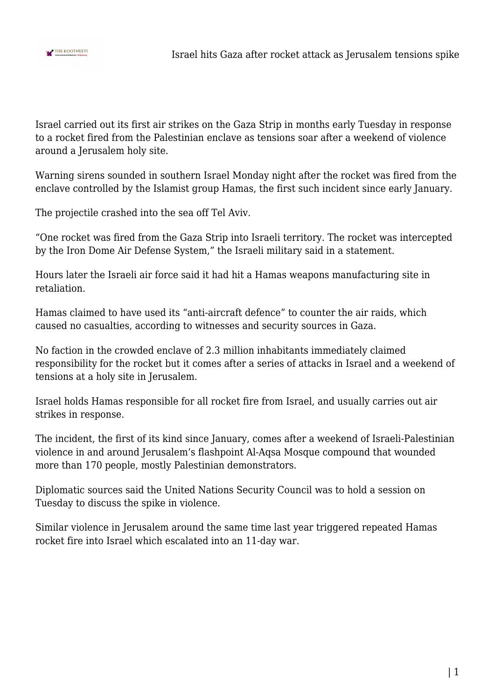

Israel carried out its first air strikes on the Gaza Strip in months early Tuesday in response to a rocket fired from the Palestinian enclave as tensions soar after a weekend of violence around a Jerusalem holy site.

Warning sirens sounded in southern Israel Monday night after the rocket was fired from the enclave controlled by the Islamist group Hamas, the first such incident since early January.

The projectile crashed into the sea off Tel Aviv.

"One rocket was fired from the Gaza Strip into Israeli territory. The rocket was intercepted by the Iron Dome Air Defense System," the Israeli military said in a statement.

Hours later the Israeli air force said it had hit a Hamas weapons manufacturing site in retaliation.

Hamas claimed to have used its "anti-aircraft defence" to counter the air raids, which caused no casualties, according to witnesses and security sources in Gaza.

No faction in the crowded enclave of 2.3 million inhabitants immediately claimed responsibility for the rocket but it comes after a series of attacks in Israel and a weekend of tensions at a holy site in Jerusalem.

Israel holds Hamas responsible for all rocket fire from Israel, and usually carries out air strikes in response.

The incident, the first of its kind since January, comes after a weekend of Israeli-Palestinian violence in and around Jerusalem's flashpoint Al-Aqsa Mosque compound that wounded more than 170 people, mostly Palestinian demonstrators.

Diplomatic sources said the United Nations Security Council was to hold a session on Tuesday to discuss the spike in violence.

Similar violence in Jerusalem around the same time last year triggered repeated Hamas rocket fire into Israel which escalated into an 11-day war.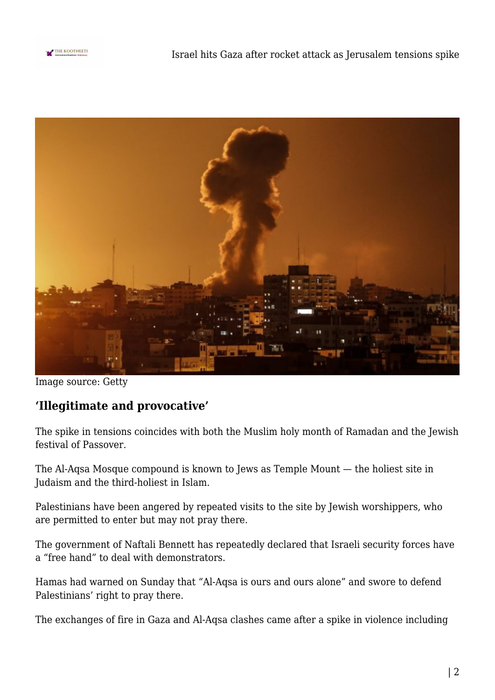



Image source: Getty

## **'Illegitimate and provocative'**

The spike in tensions coincides with both the Muslim holy month of Ramadan and the Jewish festival of Passover.

The Al-Aqsa Mosque compound is known to Jews as Temple Mount — the holiest site in Judaism and the third-holiest in Islam.

Palestinians have been angered by repeated visits to the site by Jewish worshippers, who are permitted to enter but may not pray there.

The government of Naftali Bennett has repeatedly declared that Israeli security forces have a "free hand" to deal with demonstrators.

Hamas had warned on Sunday that "Al-Aqsa is ours and ours alone" and swore to defend Palestinians' right to pray there.

The exchanges of fire in Gaza and Al-Aqsa clashes came after a spike in violence including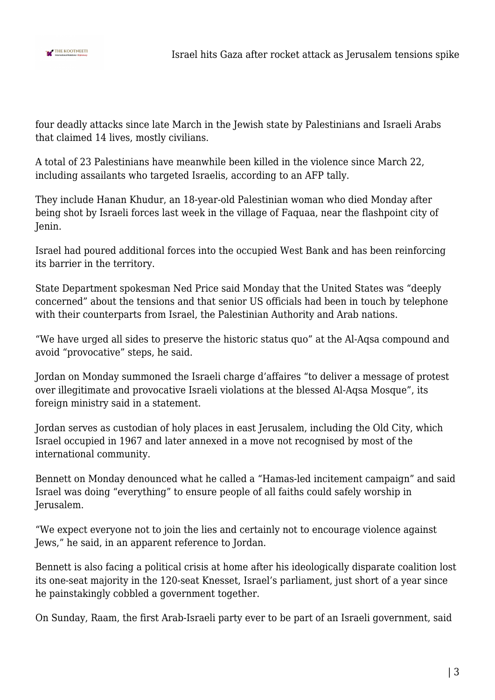

four deadly attacks since late March in the Jewish state by Palestinians and Israeli Arabs that claimed 14 lives, mostly civilians.

A total of 23 Palestinians have meanwhile been killed in the violence since March 22, including assailants who targeted Israelis, according to an AFP tally.

They include Hanan Khudur, an 18-year-old Palestinian woman who died Monday after being shot by Israeli forces last week in the village of Faquaa, near the flashpoint city of Jenin.

Israel had poured additional forces into the occupied West Bank and has been reinforcing its barrier in the territory.

State Department spokesman Ned Price said Monday that the United States was "deeply concerned" about the tensions and that senior US officials had been in touch by telephone with their counterparts from Israel, the Palestinian Authority and Arab nations.

"We have urged all sides to preserve the historic status quo" at the Al-Aqsa compound and avoid "provocative" steps, he said.

Jordan on Monday summoned the Israeli charge d'affaires "to deliver a message of protest over illegitimate and provocative Israeli violations at the blessed Al-Aqsa Mosque", its foreign ministry said in a statement.

Jordan serves as custodian of holy places in east Jerusalem, including the Old City, which Israel occupied in 1967 and later annexed in a move not recognised by most of the international community.

Bennett on Monday denounced what he called a "Hamas-led incitement campaign" and said Israel was doing "everything" to ensure people of all faiths could safely worship in Jerusalem.

"We expect everyone not to join the lies and certainly not to encourage violence against Jews," he said, in an apparent reference to Jordan.

Bennett is also facing a political crisis at home after his ideologically disparate coalition lost its one-seat majority in the 120-seat Knesset, Israel's parliament, just short of a year since he painstakingly cobbled a government together.

On Sunday, Raam, the first Arab-Israeli party ever to be part of an Israeli government, said